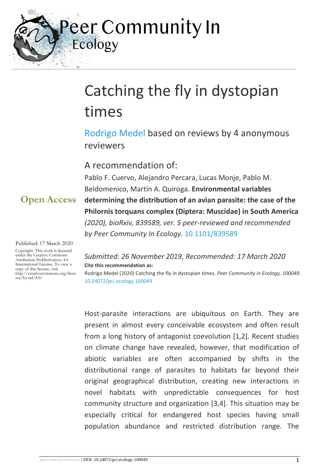Peer Community In Ecology

# Catching the fly in dystopian times

[Rodrigo Medel](https://ecology.peercommunityin.org/public/viewUserCard?userId=204) based on reviews by 4 anonymous reviewers

### A recommendation of:

Pablo F. Cuervo, Alejandro Percara, Lucas Monje, Pablo M. Beldomenico, Martín A. Quiroga. **Environmental variables determining the distribution of an avian parasite: the case of the Philornis torquans complex (Diptera: Muscidae) in South America**  *(2020), bioRxiv, 839589, ver. 5 peer-reviewed and recommended by Peer Community In Ecology.* [10.1101/839589](https://doi.org/10.1101/839589)

#### Published: 17 March 2020

**Open Access**

Copyright: This work is licensed under the Creative Commons Attribution-NoDerivatives 4.0 International License. To view a copy of this license, visit http://creativecommons.org/licen  $\frac{1}{\frac{1}{2}}$  ses/by-nd/4.0/

*Submitted: 26 November 2019*, *Recommended: 17 March 2020* **Cite this recommendation as:**

Rodrigo Medel (2020) Catching the fly in dystopian times. *Peer Community in Ecology, 100049.*  [10.24072/pci.ecology.100049](https://doi.org/10.24072/pci.ecology.100049)

Host-parasite interactions are ubiquitous on Earth. They are present in almost every conceivable ecosystem and often result from a long history of antagonist coevolution [1,2]. Recent studies on climate change have revealed, however, that modification of abiotic variables are often accompanied by shifts in the distributional range of parasites to habitats far beyond their original geographical distribution, creating new interactions in novel habitats with unpredictable consequences for host community structure and organization [3,4]. This situation may be especially critical for endangered host species having small population abundance and restricted distribution range. The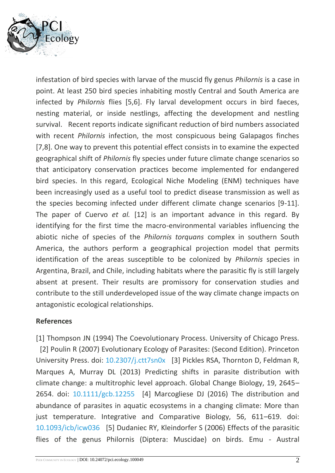

infestation of bird species with larvae of the muscid fly genus *Philornis* is a case in point. At least 250 bird species inhabiting mostly Central and South America are infected by *Philornis* flies [5,6]. Fly larval development occurs in bird faeces, nesting material, or inside nestlings, affecting the development and nestling survival. Recent reports indicate significant reduction of bird numbers associated with recent *Philornis* infection, the most conspicuous being Galapagos finches [7,8]. One way to prevent this potential effect consists in to examine the expected geographical shift of *Philornis* fly species under future climate change scenarios so that anticipatory conservation practices become implemented for endangered bird species. In this regard, Ecological Niche Modeling (ENM) techniques have been increasingly used as a useful tool to predict disease transmission as well as the species becoming infected under different climate change scenarios [9-11]. The paper of Cuervo *et al.* [12] is an important advance in this regard. By identifying for the first time the macro-environmental variables influencing the abiotic niche of species of the *Philornis torquans* complex in southern South America, the authors perform a geographical projection model that permits identification of the areas susceptible to be colonized by *Philornis* species in Argentina, Brazil, and Chile, including habitats where the parasitic fly is still largely absent at present. Their results are promissory for conservation studies and contribute to the still underdeveloped issue of the way climate change impacts on antagonistic ecological relationships.

#### **References**

[1] Thompson JN (1994) The Coevolutionary Process. University of Chicago Press. [2] Poulin R (2007) Evolutionary Ecology of Parasites: (Second Edition). Princeton University Press. doi: [10.2307/j.ctt7sn0x](https://dx.doi.org/10.2307/j.ctt7sn0x) [3] Pickles RSA, Thornton D, Feldman R, Marques A, Murray DL (2013) Predicting shifts in parasite distribution with climate change: a multitrophic level approach. Global Change Biology, 19, 2645– 2654. doi: [10.1111/gcb.12255](https://dx.doi.org/10.1111/gcb.12255) [4] Marcogliese DJ (2016) The distribution and abundance of parasites in aquatic ecosystems in a changing climate: More than just temperature. Integrative and Comparative Biology, 56, 611–619. doi: [10.1093/icb/icw036](https://dx.doi.org/10.1093/icb/icw036) [5] Dudaniec RY, Kleindorfer S (2006) Effects of the parasitic flies of the genus Philornis (Diptera: Muscidae) on birds. Emu - Austral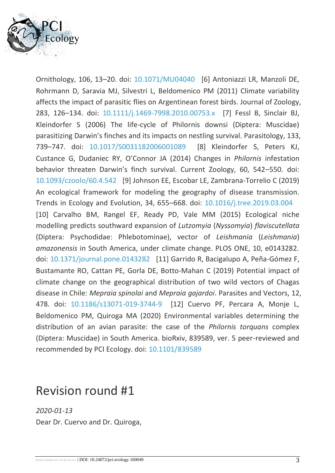

Ornithology, 106, 13–20. doi: [10.1071/MU04040](https://dx.doi.org/10.1071/MU04040) [6] Antoniazzi LR, Manzoli DE, Rohrmann D, Saravia MJ, Silvestri L, Beldomenico PM (2011) Climate variability affects the impact of parasitic flies on Argentinean forest birds. Journal of Zoology, 283, 126–134. doi: [10.1111/j.1469-7998.2010.00753.x](https://dx.doi.org/10.1111/j.1469-7998.2010.00753.x) [7] Fessl B, Sinclair BJ, Kleindorfer S (2006) The life-cycle of Philornis downsi (Diptera: Muscidae) parasitizing Darwin's finches and its impacts on nestling survival. Parasitology, 133, 739–747. doi: [10.1017/S0031182006001089](https://dx.doi.org/10.1017/S0031182006001089) [8] Kleindorfer S, Peters KJ, Custance G, Dudaniec RY, O'Connor JA (2014) Changes in *Philornis* infestation behavior threaten Darwin's finch survival. Current Zoology, 60, 542–550. doi: [10.1093/czoolo/60.4.542](https://dx.doi.org/10.1093/czoolo/60.4.542) [9] Johnson EE, Escobar LE, Zambrana-Torrelio C (2019) An ecological framework for modeling the geography of disease transmission. Trends in Ecology and Evolution, 34, 655–668. doi: [10.1016/j.tree.2019.03.004](https://dx.doi.org/10.1016/j.tree.2019.03.004) [10] Carvalho BM, Rangel EF, Ready PD, Vale MM (2015) Ecological niche modelling predicts southward expansion of *Lutzomyia* (*Nyssomyia*) *flaviscutellata* (Diptera: Psychodidae: Phlebotominae), vector of *Leishmania* (*Leishmania*) *amazonensis* in South America, under climate change. PLOS ONE, 10, e0143282. doi: [10.1371/journal.pone.0143282](https://dx.doi.org/10.1371/journal.pone.0143282) [11] Garrido R, Bacigalupo A, Peña-Gómez F, Bustamante RO, Cattan PE, Gorla DE, Botto-Mahan C (2019) Potential impact of climate change on the geographical distribution of two wild vectors of Chagas disease in Chile: *Mepraia spinolai* and *Mepraia gajardoi*. Parasites and Vectors, 12, 478. doi: [10.1186/s13071-019-3744-9](https://dx.doi.org/10.1186/s13071-019-3744-9) [12] Cuervo PF, Percara A, Monje L, Beldomenico PM, Quiroga MA (2020) Environmental variables determining the distribution of an avian parasite: the case of the *Philornis torquans* complex (Diptera: Muscidae) in South America. bioRxiv, 839589, ver. 5 peer-reviewed and recommended by PCI Ecology. doi: [10.1101/839589](https://dx.doi.org/10.1101/839589)

## Revision round #1

*2020-01-13* Dear Dr. Cuervo and Dr. Quiroga,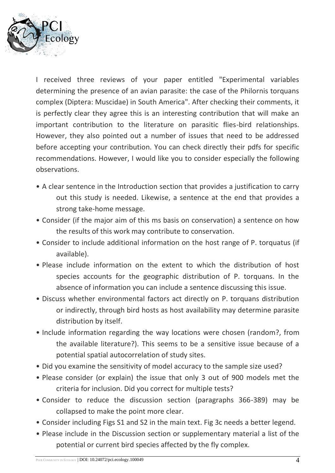

I received three reviews of your paper entitled "Experimental variables determining the presence of an avian parasite: the case of the Philornis torquans complex (Diptera: Muscidae) in South America". After checking their comments, it is perfectly clear they agree this is an interesting contribution that will make an important contribution to the literature on parasitic flies-bird relationships. However, they also pointed out a number of issues that need to be addressed before accepting your contribution. You can check directly their pdfs for specific recommendations. However, I would like you to consider especially the following observations.

- A clear sentence in the Introduction section that provides a justification to carry out this study is needed. Likewise, a sentence at the end that provides a strong take-home message.
- Consider (if the major aim of this ms basis on conservation) a sentence on how the results of this work may contribute to conservation.
- Consider to include additional information on the host range of P. torquatus (if available).
- Please include information on the extent to which the distribution of host species accounts for the geographic distribution of P. torquans. In the absence of information you can include a sentence discussing this issue.
- Discuss whether environmental factors act directly on P. torquans distribution or indirectly, through bird hosts as host availability may determine parasite distribution by itself.
- Include information regarding the way locations were chosen (random?, from the available literature?). This seems to be a sensitive issue because of a potential spatial autocorrelation of study sites.
- Did you examine the sensitivity of model accuracy to the sample size used?
- Please consider (or explain) the issue that only 3 out of 900 models met the criteria for inclusion. Did you correct for multiple tests?
- Consider to reduce the discussion section (paragraphs 366-389) may be collapsed to make the point more clear.
- Consider including Figs S1 and S2 in the main text. Fig 3c needs a better legend.
- Please include in the Discussion section or supplementary material a list of the potential or current bird species affected by the fly complex.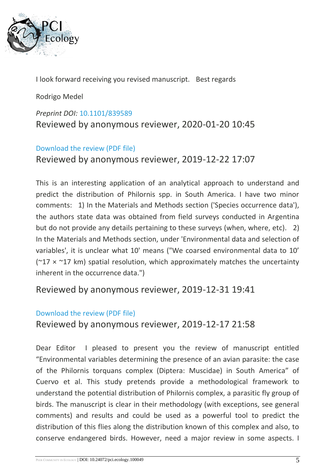

I look forward receiving you revised manuscript. Best regards

Rodrigo Medel

#### *Preprint DOI:* [10.1101/839589](https://doi.org/10.1101/839589)

Reviewed by anonymous reviewer, 2020-01-20 10:45

#### [Download the review \(PDF file\)](https://ecology.peercommunityin.org/download/t_reviews.review_pdf.9113c2ce4596341c.526576696577202e706466.pdf)

Reviewed by anonymous reviewer, 2019-12-22 17:07

This is an interesting application of an analytical approach to understand and predict the distribution of Philornis spp. in South America. I have two minor comments: 1) In the Materials and Methods section ('Species occurrence data'), the authors state data was obtained from field surveys conducted in Argentina but do not provide any details pertaining to these surveys (when, where, etc). 2) In the Materials and Methods section, under 'Environmental data and selection of variables', it is unclear what 10' means ("We coarsed environmental data to 10' ( $217 \times 17$  km) spatial resolution, which approximately matches the uncertainty inherent in the occurrence data.")

#### Reviewed by anonymous reviewer, 2019-12-31 19:41

#### [Download the review \(PDF file\)](https://ecology.peercommunityin.org/download/t_reviews.review_pdf.9e1cfe51ee4c09b5.5265766965772e706466.pdf)

Reviewed by anonymous reviewer, 2019-12-17 21:58

Dear Editor I pleased to present you the review of manuscript entitled "Environmental variables determining the presence of an avian parasite: the case of the Philornis torquans complex (Diptera: Muscidae) in South America" of Cuervo et al. This study pretends provide a methodological framework to understand the potential distribution of Philornis complex, a parasitic fly group of birds. The manuscript is clear in their methodology (with exceptions, see general comments) and results and could be used as a powerful tool to predict the distribution of this flies along the distribution known of this complex and also, to conserve endangered birds. However, need a major review in some aspects. I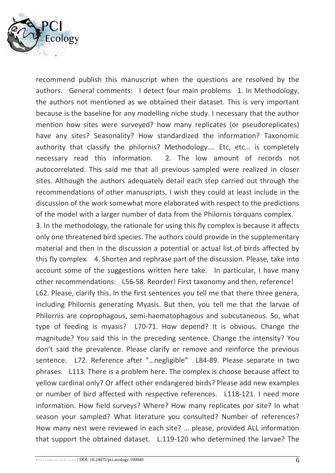

recommend publish this manuscript when the questions are resolved by the authors. General comments: I detect four main problems 1. In Methodology, the authors not mentioned as we obtained their dataset. This is very important because is the baseline for any modelling niche study. I necessary that the author mention how sites were surveyed? how many replicates (or pseudoreplicates) have any sites? Seasonality? How standardized the information? Taxonomic authority that classify the philornis? Methodology…. Etc, etc… is completely necessary read this information. 2. The low amount of records not autocorrelated. This said me that all previous sampled were realized in closer sites. Although the authors adequately detail each step carried out through the recommendations of other manuscripts, I wish they could at least include in the discussion of the work somewhat more elaborated with respect to the predictions of the model with a larger number of data from the Philornis torquans complex.

3. In the methodology, the rationale for using this fly complex is because it affects only one threatened bird species. The authors could provide in the supplementary material and then in the discussion a potential or actual list of birds affected by this fly complex. 4. Shorten and rephrase part of the discussion. Please, take into account some of the suggestions written here take. In particular, I have many other recommendations: L56-58. Reorder! First taxonomy and then, reference!

L62. Please, clarify this. In the first sentences you tell me that there three genera, including Philornis generating Myasis. But then, you tell me that the larvae of Philornis are coprophagous, semi-haematophagous and subcutaneous. So, what type of feeding is myasis? L70-71. How depend? It is obvious. Change the magnitude? You said this in the preceding sentence. Change the intensity? You don't said the prevalence. Please clarify or remove and reinforce the previous sentence. L72. Reference after "…negligible" L84-89. Please separate in two phrases. L113. There is a problem here. The complex is choose because affect to yellow cardinal only? Or affect other endangered birds? Please add new examples or number of bird affected with respective references. L118-121. I need more information. How field surveys? Where? How many replicates por site? In what season your sampled? What literature you consulted? Number of references? How many nest were reviewed in each site? … please, provided ALL information that support the obtained dataset. L.119-120 who determined the larvae? The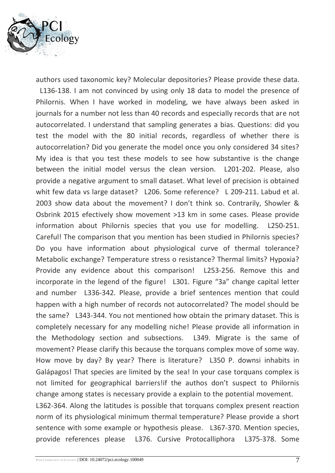

authors used taxonomic key? Molecular depositories? Please provide these data.

L136-138. I am not convinced by using only 18 data to model the presence of Philornis. When I have worked in modeling, we have always been asked in journals for a number not less than 40 records and especially records that are not autocorrelated. I understand that sampling generates a bias. Questions: did you test the model with the 80 initial records, regardless of whether there is autocorrelation? Did you generate the model once you only considered 34 sites? My idea is that you test these models to see how substantive is the change between the initial model versus the clean version. L201-202. Please, also provide a negative argument to small dataset. What level of precision is obtained whit few data vs large dataset? L206. Some reference? L 209-211. Labud et al. 2003 show data about the movement? I don't think so. Contrarily, Showler & Osbrink 2015 efectively show movement >13 km in some cases. Please provide information about Philornis species that you use for modelling. L250-251. Careful! The comparison that you mention has been studied in Philornis species? Do you have information about physiological curve of thermal tolerance? Metabolic exchange? Temperature stress o resistance? Thermal limits? Hypoxia? Provide any evidence about this comparison! L253-256. Remove this and incorporate in the legend of the figure! L301. Figure "3a" change capital letter and number L336-342. Please, provide a brief sentences mention that could happen with a high number of records not autocorrelated? The model should be the same? L343-344. You not mentioned how obtain the primary dataset. This is completely necessary for any modelling niche! Please provide all information in the Methodology section and subsections. L349. Migrate is the same of movement? Please clarify this because the torquans complex move of some way. How move by day? By year? There is literature? L350 P. downsi inhabits in Galápagos! That species are limited by the sea! In your case torquans complex is not limited for geographical barriers!if the authos don't suspect to Philornis change among states is necessary provide a explain to the potential movement. L362-364. Along the latitudes is possible that torquans complex present reaction norm of its physiological minimum thermal temperature? Please provide a short sentence with some example or hypothesis please. L367-370. Mention species, provide references please L376. Cursive Protocalliphora L375-378. Some